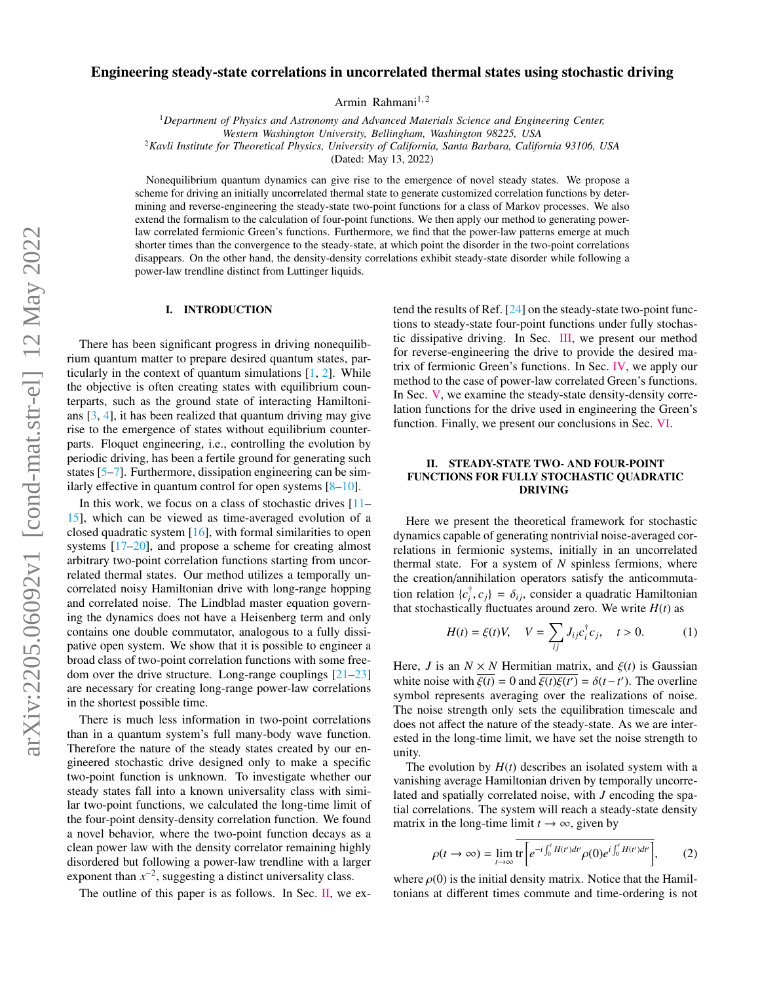# Engineering steady-state correlations in uncorrelated thermal states using stochastic driving

Armin Rahmani<sup>1,2</sup>

<sup>1</sup>*Department of Physics and Astronomy and Advanced Materials Science and Engineering Center, Western Washington University, Bellingham, Washington 98225, USA* <sup>2</sup>*Kavli Institute for Theoretical Physics, University of California, Santa Barbara, California 93106, USA*

(Dated: May 13, 2022)

Nonequilibrium quantum dynamics can give rise to the emergence of novel steady states. We propose a scheme for driving an initially uncorrelated thermal state to generate customized correlation functions by determining and reverse-engineering the steady-state two-point functions for a class of Markov processes. We also extend the formalism to the calculation of four-point functions. We then apply our method to generating powerlaw correlated fermionic Green's functions. Furthermore, we find that the power-law patterns emerge at much shorter times than the convergence to the steady-state, at which point the disorder in the two-point correlations disappears. On the other hand, the density-density correlations exhibit steady-state disorder while following a power-law trendline distinct from Luttinger liquids.

#### I. INTRODUCTION

There has been significant progress in driving nonequilibrium quantum matter to prepare desired quantum states, particularly in the context of quantum simulations [\[1,](#page-5-0) [2\]](#page-5-1). While the objective is often creating states with equilibrium counterparts, such as the ground state of interacting Hamiltonians  $[3, 4]$  $[3, 4]$  $[3, 4]$ , it has been realized that quantum driving may give rise to the emergence of states without equilibrium counterparts. Floquet engineering, i.e., controlling the evolution by periodic driving, has been a fertile ground for generating such states [\[5](#page-5-4)[–7\]](#page-5-5). Furthermore, dissipation engineering can be similarly effective in quantum control for open systems [\[8](#page-5-6)[–10\]](#page-5-7).

In this work, we focus on a class of stochastic drives  $[11]$ -[15\]](#page-5-9), which can be viewed as time-averaged evolution of a closed quadratic system [\[16\]](#page-5-10), with formal similarities to open systems [\[17](#page-5-11)[–20\]](#page-5-12), and propose a scheme for creating almost arbitrary two-point correlation functions starting from uncorrelated thermal states. Our method utilizes a temporally uncorrelated noisy Hamiltonian drive with long-range hopping and correlated noise. The Lindblad master equation governing the dynamics does not have a Heisenberg term and only contains one double commutator, analogous to a fully dissipative open system. We show that it is possible to engineer a broad class of two-point correlation functions with some freedom over the drive structure. Long-range couplings [\[21–](#page-5-13)[23\]](#page-5-14) are necessary for creating long-range power-law correlations in the shortest possible time.

There is much less information in two-point correlations than in a quantum system's full many-body wave function. Therefore the nature of the steady states created by our engineered stochastic drive designed only to make a specific two-point function is unknown. To investigate whether our steady states fall into a known universality class with similar two-point functions, we calculated the long-time limit of the four-point density-density correlation function. We found a novel behavior, where the two-point function decays as a clean power law with the density correlator remaining highly disordered but following a power-law trendline with a larger exponent than  $x^{-2}$ , suggesting a distinct universality class.

The outline of this paper is as follows. In Sec. [II,](#page-0-0) we ex-

tend the results of Ref. [\[24\]](#page-5-15) on the steady-state two-point functions to steady-state four-point functions under fully stochastic dissipative driving. In Sec. [III,](#page-1-0) we present our method for reverse-engineering the drive to provide the desired matrix of fermionic Green's functions. In Sec. [IV,](#page-3-0) we apply our method to the case of power-law correlated Green's functions. In Sec. [V,](#page-4-0) we examine the steady-state density-density correlation functions for the drive used in engineering the Green's function. Finally, we present our conclusions in Sec. [VI.](#page-5-16)

# <span id="page-0-0"></span>II. STEADY-STATE TWO- AND FOUR-POINT FUNCTIONS FOR FULLY STOCHASTIC QUADRATIC DRIVING

Here we present the theoretical framework for stochastic dynamics capable of generating nontrivial noise-averaged correlations in fermionic systems, initially in an uncorrelated thermal state. For a system of *N* spinless fermions, where the creation/annihilation operators satisfy the anticommutation relation  ${c_i^{\dagger}}$  $\{a_i^{\dagger}, c_j\} = \delta_{ij}$ , consider a quadratic Hamiltonian<br>
lly fluctuates around zero. We write *H(t)* as that stochastically fluctuates around zero. We write  $H(t)$  as

<span id="page-0-1"></span>
$$
H(t) = \xi(t)V, \quad V = \sum_{ij} J_{ij} c_i^{\dagger} c_j, \quad t > 0.
$$
 (1)

Here, *J* is an  $N \times N$  Hermitian matrix, and  $\xi(t)$  is Gaussian white noise with  $\overline{\xi(t)} = 0$  and  $\overline{\xi(t)}\xi(t') = \delta(t-t')$ . The overline symbol represents averaging over the realizations of noise symbol represents averaging over the realizations of noise. The noise strength only sets the equilibration timescale and does not affect the nature of the steady-state. As we are interested in the long-time limit, we have set the noise strength to unity.

The evolution by  $H(t)$  describes an isolated system with a vanishing average Hamiltonian driven by temporally uncorrelated and spatially correlated noise, with *J* encoding the spatial correlations. The system will reach a steady-state density matrix in the long-time limit  $t \to \infty$ , given by

$$
\rho(t \to \infty) = \lim_{t \to \infty} \overline{\text{tr}\left[e^{-i\int_0^t H(t')dt'} \rho(0)e^{i\int_0^t H(t')dt'}\right]},\qquad(2)
$$

where  $\rho(0)$  is the initial density matrix. Notice that the Hamiltonians at different times commute and time-ordering is not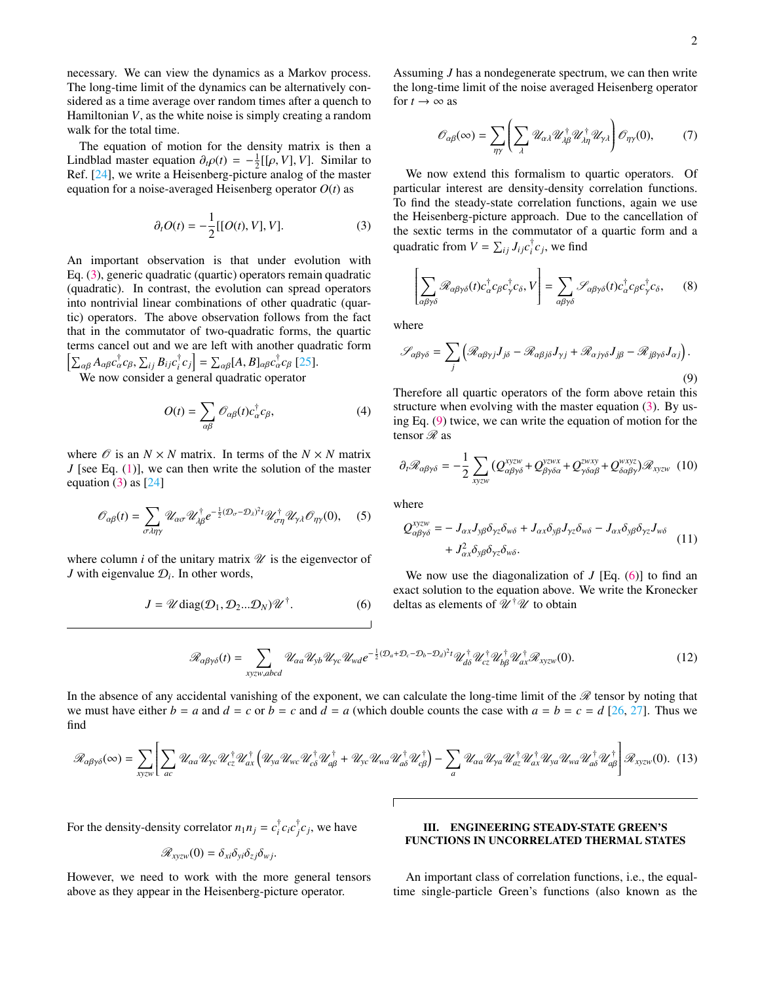necessary. We can view the dynamics as a Markov process. The long-time limit of the dynamics can be alternatively considered as a time average over random times after a quench to Hamiltonian *V*, as the white noise is simply creating a random walk for the total time.

The equation of motion for the density matrix is then a Lindblad master equation  $\partial_t \rho(t) = -\frac{1}{2} [[\rho, V], V]$ . Similar to Ref. [24] we write a Heisenberg-picture analog of the master Ref. [\[24\]](#page-5-15), we write a Heisenberg-picture analog of the master equation for a noise-averaged Heisenberg operator *O*(*t*) as

<span id="page-1-1"></span>
$$
\partial_t O(t) = -\frac{1}{2} [[O(t), V], V]. \tag{3}
$$

An important observation is that under evolution with Eq. [\(3\)](#page-1-1), generic quadratic (quartic) operators remain quadratic (quadratic). In contrast, the evolution can spread operators into nontrivial linear combinations of other quadratic (quartic) operators. The above observation follows from the fact that in the commutator of two-quadratic forms, the quartic terms cancel out and we are left with another quadratic form  $\left[\sum_{\alpha\beta} A_{\alpha\beta} c_{\alpha}^{\dagger} c_{\beta}, \sum_{ij} B_{ij} c_{i}^{\dagger}\right]$  $\int_{\alpha\beta}^{\alpha} A_{\alpha\beta} c_{\alpha}^{\dagger} c_{\beta}, \sum_{ij} B_{ij} c_{i}^{\dagger} c_{j}$   $= \sum_{\alpha\beta} [A, B]_{\alpha\beta} c_{\alpha}^{\dagger} c_{\beta}$  [\[25\]](#page-5-17).<br>We now consider a general quadratic operator

$$
O(t) = \sum_{\alpha\beta} \mathcal{O}_{\alpha\beta}(t) c_{\alpha}^{\dagger} c_{\beta},
$$
 (4)

where  $\mathcal{O}$  is an  $N \times N$  matrix. In terms of the  $N \times N$  matrix *J* [see Eq. [\(1\)](#page-0-1)], we can then write the solution of the master equation  $(3)$  as  $[24]$ 

<span id="page-1-4"></span>
$$
\mathcal{O}_{\alpha\beta}(t) = \sum_{\sigma \lambda \eta \gamma} \mathcal{U}_{\alpha\sigma} \mathcal{U}_{\lambda\beta}^{\dagger} e^{-\frac{1}{2} (\mathcal{D}_{\sigma} - \mathcal{D}_{\lambda})^2 t} \mathcal{U}_{\sigma\eta}^{\dagger} \mathcal{U}_{\gamma\lambda} \mathcal{O}_{\eta\gamma}(0), \quad (5)
$$

where column  $i$  of the unitary matrix  $\mathscr U$  is the eigenvector of *J* with eigenvalue  $\mathcal{D}_i$ . In other words,

<span id="page-1-3"></span>
$$
J = \mathscr{U} \text{diag}(\mathcal{D}_1, \mathcal{D}_2 ... \mathcal{D}_N) \mathscr{U}^{\dagger}.
$$
 (6)

Assuming *J* has a nondegenerate spectrum, we can then write the long-time limit of the noise averaged Heisenberg operator for  $t \to \infty$  as

<span id="page-1-5"></span>
$$
\mathscr{O}_{\alpha\beta}(\infty) = \sum_{\eta\gamma} \left( \sum_{\lambda} \mathscr{U}_{\alpha\lambda} \mathscr{U}_{\lambda\beta}^{\dagger} \mathscr{U}_{\lambda\eta}^{\dagger} \mathscr{U}_{\gamma\lambda} \right) \mathscr{O}_{\eta\gamma}(0), \tag{7}
$$

We now extend this formalism to quartic operators. Of particular interest are density-density correlation functions. To find the steady-state correlation functions, again we use the Heisenberg-picture approach. Due to the cancellation of the sextic terms in the commutator of a quartic form and a quadratic from  $V = \sum_{ij} J_{ij} c_i^{\dagger}$  $\int_i^{\tau} c_j$ , we find

$$
\left[\sum_{\alpha\beta\gamma\delta} \mathcal{R}_{\alpha\beta\gamma\delta}(t) c_{\alpha}^{\dagger} c_{\beta} c_{\gamma}^{\dagger} c_{\delta}, V\right] = \sum_{\alpha\beta\gamma\delta} \mathcal{S}_{\alpha\beta\gamma\delta}(t) c_{\alpha}^{\dagger} c_{\beta} c_{\gamma}^{\dagger} c_{\delta},\qquad(8)
$$

where

<span id="page-1-2"></span>
$$
\mathcal{S}_{\alpha\beta\gamma\delta} = \sum_{j} \left( \mathcal{R}_{\alpha\beta\gamma j} J_{j\delta} - \mathcal{R}_{\alpha\beta j\delta} J_{\gamma j} + \mathcal{R}_{\alpha j\gamma\delta} J_{j\beta} - \mathcal{R}_{j\beta\gamma\delta} J_{\alpha j} \right).
$$
\n(9)

Therefore all quartic operators of the form above retain this structure when evolving with the master equation  $(3)$ . By using Eq. [\(9\)](#page-1-2) twice, we can write the equation of motion for the tensor  $\mathscr R$  as

$$
\partial_t \mathcal{R}_{\alpha\beta\gamma\delta} = -\frac{1}{2} \sum_{xyzw} \left( Q_{\alpha\beta\gamma\delta}^{xyzw} + Q_{\beta\gamma\delta\alpha}^{yzwx} + Q_{\gamma\delta\alpha\beta}^{xwxy} + Q_{\delta\alpha\beta\gamma}^{wxyz} \right) \mathcal{R}_{xyzw} \tag{10}
$$

where

$$
Q_{\alpha\beta\gamma\delta}^{xyzw} = -J_{\alpha x}J_{y\beta}\delta_{\gamma z}\delta_{w\delta} + J_{\alpha x}\delta_{y\beta}J_{\gamma z}\delta_{w\delta} - J_{\alpha x}\delta_{y\beta}\delta_{\gamma z}J_{w\delta}
$$
  
+  $J_{\alpha x}^2\delta_{y\beta}\delta_{\gamma z}\delta_{w\delta}$ . (11)

We now use the diagonalization of *J* [Eq. [\(6\)](#page-1-3)] to find an exact solution to the equation above. We write the Kronecker deltas as elements of  $\mathscr{U}^{\dagger}\mathscr{U}$  to obtain

$$
\mathcal{R}_{\alpha\beta\gamma\delta}(t) = \sum_{xyzw,abcd} \mathcal{U}_{\alpha a} \mathcal{U}_{yb} \mathcal{U}_{\gamma c} \mathcal{U}_{wd} e^{-\frac{1}{2}(\mathcal{D}_a + \mathcal{D}_c - \mathcal{D}_b - \mathcal{D}_d)^2 t} \mathcal{U}_{d\delta}^{\dagger} \mathcal{U}_{cz}^{\dagger} \mathcal{U}_{b\beta}^{\dagger} \mathcal{U}_{ax}^{\dagger} \mathcal{R}_{xyzw}(0). \tag{12}
$$

In the absence of any accidental vanishing of the exponent, we can calculate the long-time limit of the  $\mathcal R$  tensor by noting that we must have either  $b = a$  and  $d = c$  or  $b = c$  and  $d = a$  (which double counts the case with  $a = b = c = d$  [\[26,](#page-5-18) [27\]](#page-5-19). Thus we find

<span id="page-1-6"></span>
$$
\mathscr{R}_{\alpha\beta\gamma\delta}(\infty) = \sum_{xy \in W} \left[ \sum_{ac} \mathcal{U}_{\alpha a} \mathcal{U}_{\gamma c} \mathcal{U}_{cz}^{\dagger} \mathcal{U}_{\alpha x}^{\dagger} \left( \mathcal{U}_{ya} \mathcal{U}_{wc} \mathcal{U}_{c\delta}^{\dagger} \mathcal{U}_{a\beta}^{\dagger} + \mathcal{U}_{yc} \mathcal{U}_{wa} \mathcal{U}_{a\delta}^{\dagger} \mathcal{U}_{c\beta}^{\dagger} \right) - \sum_{a} \mathcal{U}_{\alpha a} \mathcal{U}_{\gamma a} \mathcal{U}_{a z}^{\dagger} \mathcal{U}_{a x}^{\dagger} \mathcal{U}_{ya} \mathcal{U}_{a\delta}^{\dagger} \mathcal{U}_{a\beta}^{\dagger} \right] \mathcal{R}_{xyzw}(0). (13)
$$

For the density-density correlator  $n_1 n_j = c_i^{\dagger}$ <sup> $\dagger$ </sup>*c*<sub>*i*</sub>*c*<sup> $\dagger$ </sup><sub>*j*</sub>  $\int_{j}^{T} c_j$ , we have

$$
\mathscr{R}_{xyzw}(0)=\delta_{xi}\delta_{yi}\delta_{zj}\delta_{wj}.
$$

However, we need to work with the more general tensors above as they appear in the Heisenberg-picture operator.

# <span id="page-1-0"></span>III. ENGINEERING STEADY-STATE GREEN'S FUNCTIONS IN UNCORRELATED THERMAL STATES

An important class of correlation functions, i.e., the equaltime single-particle Green's functions (also known as the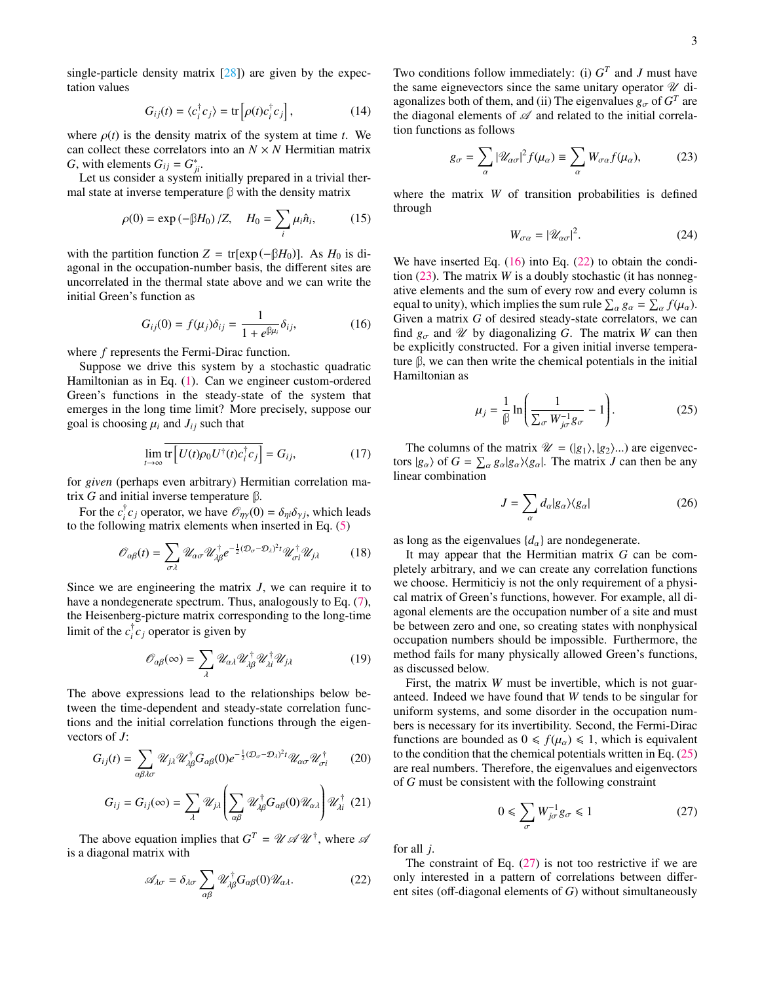single-particle density matrix  $[28]$ ) are given by the expectation values

$$
G_{ij}(t) = \langle c_i^{\dagger} c_j \rangle = \text{tr} \left[ \rho(t) c_i^{\dagger} c_j \right], \tag{14}
$$

where  $\rho(t)$  is the density matrix of the system at time *t*. We can collect these correlators into an  $N \times N$  Hermitian matrix *G*, with elements  $G_{ij} = G_{ji}^*$ .

Let us consider a system initially prepared in a trivial thermal state at inverse temperature **β** with the density matrix

$$
\rho(0) = \exp(-\beta H_0) / Z, \quad H_0 = \sum_i \mu_i \hat{n}_i,
$$
 (15)

with the partition function  $Z = \text{tr}[\exp(-\beta H_0)]$ . As  $H_0$  is diagonal in the occupation-number basis, the different sites are uncorrelated in the thermal state above and we can write the initial Green's function as

<span id="page-2-0"></span>
$$
G_{ij}(0) = f(\mu_j)\delta_{ij} = \frac{1}{1 + e^{\beta \mu_i}}\delta_{ij},\tag{16}
$$

where *f* represents the Fermi-Dirac function.

Suppose we drive this system by a stochastic quadratic Hamiltonian as in Eq. [\(1\)](#page-0-1). Can we engineer custom-ordered Green's functions in the steady-state of the system that emerges in the long time limit? More precisely, suppose our goal is choosing  $\mu_i$  and  $J_{ij}$  such that

$$
\lim_{t \to \infty} \overline{\text{tr}\left[ U(t)\rho_0 U^\dagger(t)c_i^\dagger c_j \right]} = G_{ij},\tag{17}
$$

for *given* (perhaps even arbitrary) Hermitian correlation matrix *G* and initial inverse temperature **β**.

For the  $c_i^{\dagger}$ <sup>*i*</sup><sub>*c*</sub> operator, we have  $\mathcal{O}_{\eta\gamma}(0) = \delta_{\eta i}\delta_{\gamma j}$ , which leads wing matrix elements when inserted in Eq. (5) to the following matrix elements when inserted in Eq. [\(5\)](#page-1-4)

$$
\mathcal{O}_{\alpha\beta}(t) = \sum_{\sigma\lambda} \mathcal{U}_{\alpha\sigma} \mathcal{U}_{\lambda\beta}^{\dagger} e^{-\frac{1}{2}(\mathcal{D}_{\sigma} - \mathcal{D}_{\lambda})^2 t} \mathcal{U}_{\sigma i}^{\dagger} \mathcal{U}_{j\lambda}
$$
(18)

Since we are engineering the matrix *J*, we can require it to have a nondegenerate spectrum. Thus, analogously to Eq.  $(7)$ , the Heisenberg-picture matrix corresponding to the long-time limit of the  $c_i^{\dagger}$  $\int_{i}^{T} c_j$  operator is given by

$$
\mathscr{O}_{\alpha\beta}(\infty) = \sum_{\lambda} \mathscr{U}_{\alpha\lambda} \mathscr{U}_{\lambda\beta}^{\dagger} \mathscr{U}_{\lambda i}^{\dagger} \mathscr{U}_{j\lambda}
$$
 (19)

The above expressions lead to the relationships below between the time-dependent and steady-state correlation functions and the initial correlation functions through the eigenvectors of *J*:

$$
G_{ij}(t) = \sum_{\alpha\beta\lambda\sigma} \mathcal{U}_{j\lambda} \mathcal{U}_{\lambda\beta}^{\dagger} G_{\alpha\beta}(0) e^{-\frac{1}{2}(\mathcal{D}_{\sigma} - \mathcal{D}_{\lambda})^{2}t} \mathcal{U}_{\alpha\sigma} \mathcal{U}_{\sigma i}^{\dagger}
$$
 (20)

$$
G_{ij} = G_{ij}(\infty) = \sum_{\lambda} \mathcal{U}_{j\lambda} \left( \sum_{\alpha\beta} \mathcal{U}_{\lambda\beta}^{\dagger} G_{\alpha\beta}(0) \mathcal{U}_{\alpha\lambda} \right) \mathcal{U}_{\lambda i}^{\dagger} (21)
$$

The above equation implies that  $G^T = \mathcal{U} \mathcal{A} \mathcal{U}^{\dagger}$ , where  $\mathcal{A}$ is a diagonal matrix with

<span id="page-2-1"></span>
$$
\mathscr{A}_{\lambda\sigma} = \delta_{\lambda\sigma} \sum_{\alpha\beta} \mathscr{U}_{\lambda\beta}^{\dagger} G_{\alpha\beta}(0) \mathscr{U}_{\alpha\lambda}.
$$
 (22)

Two conditions follow immediately: (i)  $G<sup>T</sup>$  and *J* must have the same eignevectors since the same unitary operator  $\mathcal U$  diagonalizes both of them, and (ii) The eigenvalues  $g_{\sigma}$  of  $G^T$  are<br>the diagonal elements of  $\mathcal{A}$  and related to the initial correlation the diagonal elements of  $\mathscr A$  and related to the initial correlation functions as follows

<span id="page-2-2"></span>
$$
g_{\sigma} = \sum_{\alpha} |\mathcal{U}_{\alpha\sigma}|^2 f(\mu_{\alpha}) \equiv \sum_{\alpha} W_{\sigma\alpha} f(\mu_{\alpha}), \qquad (23)
$$

where the matrix *W* of transition probabilities is defined through

<span id="page-2-6"></span>
$$
W_{\sigma\alpha} = |\mathcal{U}_{\alpha\sigma}|^2. \tag{24}
$$

We have inserted Eq.  $(16)$  into Eq.  $(22)$  to obtain the condition [\(23\)](#page-2-2). The matrix *W* is a doubly stochastic (it has nonnegative elements and the sum of every row and every column is equal to unity), which implies the sum rule  $\sum_{\alpha} g_{\alpha} = \sum_{\alpha} f(\mu_{\alpha})$ .<br>Given a matrix G of desired steady-state correlators, we can Given a matrix *G* of desired steady-state correlators, we can find  $g_{\sigma}$  and  $\mathcal{U}$  by diagonalizing *G*. The matrix *W* can then be explicitly constructed. For a given initial inverse temperature **β**, we can then write the chemical potentials in the initial Hamiltonian as

<span id="page-2-3"></span>
$$
\mu_j = \frac{1}{\beta} \ln \left( \frac{1}{\sum_{\sigma} W_{j\sigma}^{-1} g_{\sigma}} - 1 \right). \tag{25}
$$

The columns of the matrix  $\mathcal{U} = (|g_1\rangle, |g_2\rangle)$  are eigenvectors  $|g_{\alpha}\rangle$  of  $G = \sum_{\alpha} g_{\alpha} |g_{\alpha}\rangle\langle g_{\alpha}|$ . The matrix *J* can then be any linear combination linear combination

<span id="page-2-5"></span>
$$
J = \sum_{\alpha} d_{\alpha} |g_{\alpha}\rangle\langle g_{\alpha}| \tag{26}
$$

as long as the eigenvalues  ${d_{\alpha}}$  are nondegenerate.

It may appear that the Hermitian matrix *G* can be completely arbitrary, and we can create any correlation functions we choose. Hermiticiy is not the only requirement of a physical matrix of Green's functions, however. For example, all diagonal elements are the occupation number of a site and must be between zero and one, so creating states with nonphysical occupation numbers should be impossible. Furthermore, the method fails for many physically allowed Green's functions, as discussed below.

First, the matrix *W* must be invertible, which is not guaranteed. Indeed we have found that *W* tends to be singular for uniform systems, and some disorder in the occupation numbers is necessary for its invertibility. Second, the Fermi-Dirac functions are bounded as  $0 \leq f(\mu_{\alpha}) \leq 1$ , which is equivalent to the condition that the chemical potentials written in Eq. [\(25\)](#page-2-3) are real numbers. Therefore, the eigenvalues and eigenvectors of *G* must be consistent with the following constraint

<span id="page-2-4"></span>
$$
0 \leqslant \sum_{\sigma} W_{j\sigma}^{-1} g_{\sigma} \leqslant 1 \tag{27}
$$

for all *j*.

The constraint of Eq.  $(27)$  is not too restrictive if we are only interested in a pattern of correlations between different sites (off-diagonal elements of *G*) without simultaneously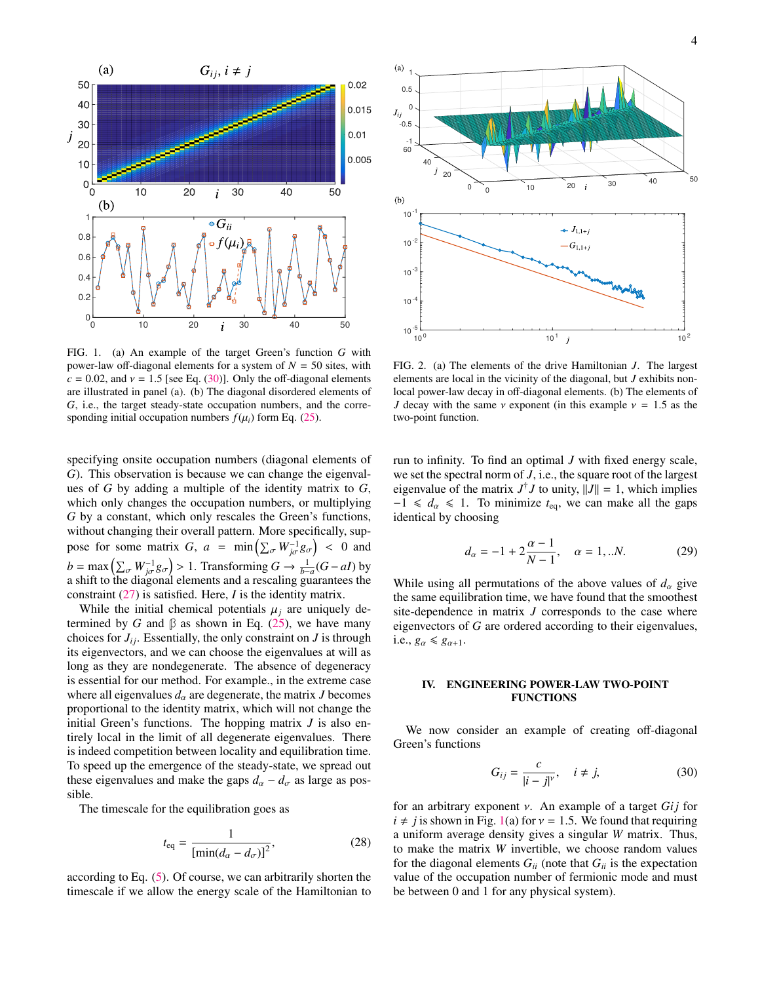

<span id="page-3-2"></span>FIG. 1. (a) An example of the target Green's function *G* with power-law off-diagonal elements for a system of  $N = 50$  sites, with  $c = 0.02$ , and  $v = 1.5$  [see Eq. [\(30\)](#page-3-1)]. Only the off-diagonal elements are illustrated in panel (a). (b) The diagonal disordered elements of *G*, i.e., the target steady-state occupation numbers, and the corresponding initial occupation numbers  $f(\mu_i)$  form Eq. [\(25\)](#page-2-3).

specifying onsite occupation numbers (diagonal elements of *G*). This observation is because we can change the eigenvalues of *G* by adding a multiple of the identity matrix to *G*, which only changes the occupation numbers, or multiplying *G* by a constant, which only rescales the Green's functions, without changing their overall pattern. More specifically, suppose for some matrix *G*,  $a = \min_{\sigma} \left( \sum_{\sigma} W_{j\sigma}^{-1} g_{\sigma} \right) < 0$  and  $b = \max\left(\sum_{\sigma} W_{j\sigma}^{-1} g_{\sigma}\right) > 1$ . Transforming  $G \to \frac{1}{b-a}(G - aI)$  by a shift to the diagonal elements and a rescaling quarantees the  $\omega = \max_{\omega} (\sum_{\sigma} m_{j\sigma} g_{\sigma}) > 1$ . Thansforming  $\omega > \frac{1}{b-a} (\sigma^2 a_{ij})$  by a shift to the diagonal elements and a rescaling guarantees the constraint [\(27\)](#page-2-4) is satisfied. Here, *I* is the identity matrix.

While the initial chemical potentials  $\mu_j$  are uniquely determined by *G* and  $\beta$  as shown in Eq. [\(25\)](#page-2-3), we have many choices for  $J_{ij}$ . Essentially, the only constraint on  $J$  is through its eigenvectors, and we can choose the eigenvalues at will as long as they are nondegenerate. The absence of degeneracy is essential for our method. For example., in the extreme case where all eigenvalues  $d_{\alpha}$  are degenerate, the matrix *J* becomes proportional to the identity matrix, which will not change the initial Green's functions. The hopping matrix *J* is also entirely local in the limit of all degenerate eigenvalues. There is indeed competition between locality and equilibration time. To speed up the emergence of the steady-state, we spread out these eigenvalues and make the gaps  $d_{\alpha} - d_{\sigma}$  as large as possible.

The timescale for the equilibration goes as

$$
t_{\text{eq}} = \frac{1}{\left[\min(d_{\alpha} - d_{\sigma})\right]^2},\tag{28}
$$

according to Eq. [\(5\)](#page-1-4). Of course, we can arbitrarily shorten the timescale if we allow the energy scale of the Hamiltonian to



<span id="page-3-3"></span>FIG. 2. (a) The elements of the drive Hamiltonian *J*. The largest elements are local in the vicinity of the diagonal, but *J* exhibits nonlocal power-law decay in off-diagonal elements. (b) The elements of *J* decay with the same  $\nu$  exponent (in this example  $\nu = 1.5$  as the two-point function.

run to infinity. To find an optimal *J* with fixed energy scale, we set the spectral norm of *J*, i.e., the square root of the largest eigenvalue of the matrix  $J^{\dagger}J$  to unity,  $||J|| = 1$ , which implies  $-1 \le d_{\alpha} \le 1$ . To minimize  $t_{eq}$ , we can make all the gaps identical by choosing

<span id="page-3-4"></span>
$$
d_{\alpha} = -1 + 2\frac{\alpha - 1}{N - 1}, \quad \alpha = 1, ...N.
$$
 (29)

While using all permutations of the above values of  $d_{\alpha}$  give the same equilibration time, we have found that the smoothest site-dependence in matrix *J* corresponds to the case where eigenvectors of *G* are ordered according to their eigenvalues, i.e.,  $g_{\alpha} \leq g_{\alpha+1}$ .

### <span id="page-3-0"></span>IV. ENGINEERING POWER-LAW TWO-POINT FUNCTIONS

We now consider an example of creating off-diagonal Green's functions

<span id="page-3-1"></span>
$$
G_{ij} = \frac{c}{|i - j|^{\gamma}}, \quad i \neq j,
$$
 (30)

for an arbitrary exponent ν. An example of a target *Gi j* for  $i \neq j$  is shown in Fig. [1\(](#page-3-2)a) for  $v = 1.5$ . We found that requiring a uniform average density gives a singular *W* matrix. Thus, to make the matrix *W* invertible, we choose random values for the diagonal elements  $G_{ii}$  (note that  $G_{ii}$  is the expectation value of the occupation number of fermionic mode and must be between 0 and 1 for any physical system).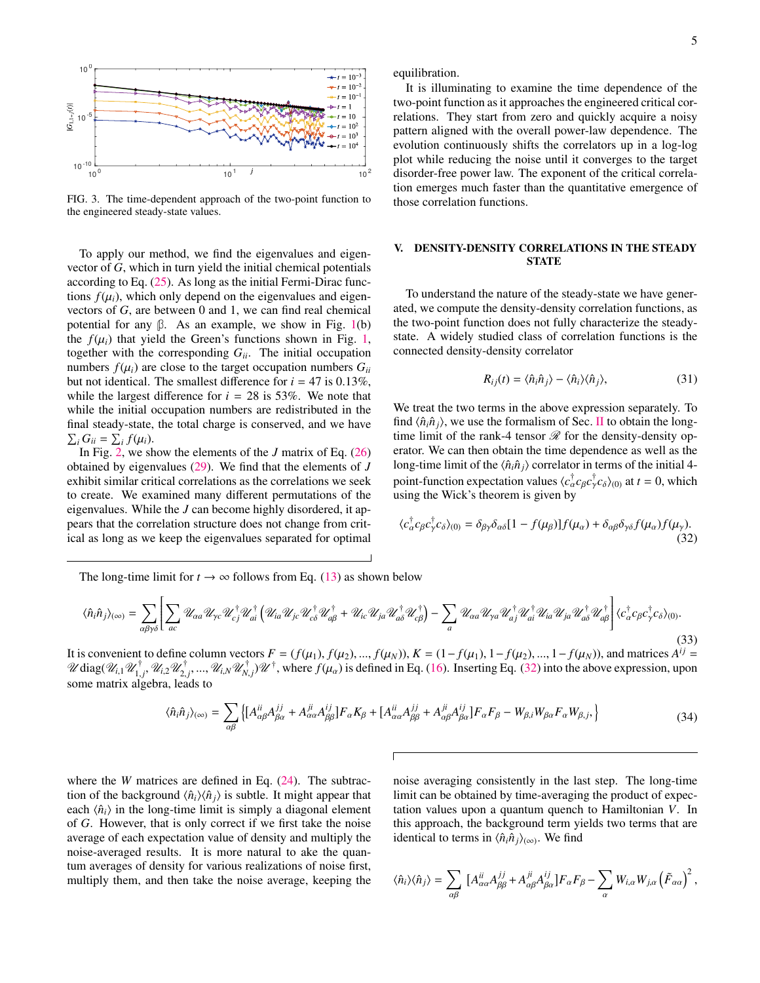

FIG. 3. The time-dependent approach of the two-point function to the engineered steady-state values.

To apply our method, we find the eigenvalues and eigenvector of *G*, which in turn yield the initial chemical potentials according to Eq. [\(25\)](#page-2-3). As long as the initial Fermi-Dirac functions  $f(\mu_i)$ , which only depend on the eigenvalues and eigenvectors of *G*, are between 0 and 1, we can find real chemical potential for any β. As an example, we show in Fig. [1\(](#page-3-2)b) the  $f(\mu_i)$  that yield the Green's functions shown in Fig. [1,](#page-3-2) together with the corresponding  $G_{ii}$ . The initial occupation numbers  $f(\mu_i)$  are close to the target occupation numbers  $G_{ii}$ but not identical. The smallest difference for  $i = 47$  is 0.13%, while the largest difference for  $i = 28$  is 53%. We note that while the initial occupation numbers are redistributed in the final steady-state, the total charge is conserved, and we have  $\sum_i G_{ii} = \sum_i f(\mu_i).$ <br>In Fig. 2, we sh

In Fig. [2,](#page-3-3) we show the elements of the *J* matrix of Eq. [\(26\)](#page-2-5) obtained by eigenvalues [\(29\)](#page-3-4). We find that the elements of *J* exhibit similar critical correlations as the correlations we seek to create. We examined many different permutations of the eigenvalues. While the *J* can become highly disordered, it appears that the correlation structure does not change from critical as long as we keep the eigenvalues separated for optimal

equilibration.

It is illuminating to examine the time dependence of the two-point function as it approaches the engineered critical correlations. They start from zero and quickly acquire a noisy pattern aligned with the overall power-law dependence. The evolution continuously shifts the correlators up in a log-log plot while reducing the noise until it converges to the target disorder-free power law. The exponent of the critical correlation emerges much faster than the quantitative emergence of those correlation functions.

# <span id="page-4-0"></span>V. DENSITY-DENSITY CORRELATIONS IN THE STEADY **STATE**

To understand the nature of the steady-state we have generated, we compute the density-density correlation functions, as the two-point function does not fully characterize the steadystate. A widely studied class of correlation functions is the connected density-density correlator

$$
R_{ij}(t) = \langle \hat{n}_i \hat{n}_j \rangle - \langle \hat{n}_i \rangle \langle \hat{n}_j \rangle, \tag{31}
$$

We treat the two terms in the above expression separately. To find  $\langle \hat{n}_i \hat{n}_j \rangle$ , we use the formalism of Sec. [II](#page-0-0) to obtain the longtime limit of the rank-4 tensor  $\mathcal R$  for the density-density operator. We can then obtain the time dependence as well as the long-time limit of the  $\langle \hat{n}_i \hat{n}_j \rangle$  correlator in terms of the initial 4point-function expectation values  $\langle c_{\alpha}^{\dagger} c_{\beta} c_{\gamma}^{\dagger} c_{\delta} \rangle_{(0)}$  at  $t = 0$ , which using the Wick's theorem is given by

<span id="page-4-1"></span>
$$
\langle c_{\alpha}^{\dagger} c_{\beta} c_{\gamma}^{\dagger} c_{\delta} \rangle_{(0)} = \delta_{\beta \gamma} \delta_{\alpha \delta} [1 - f(\mu_{\beta})] f(\mu_{\alpha}) + \delta_{\alpha \beta} \delta_{\gamma \delta} f(\mu_{\alpha}) f(\mu_{\gamma}). \tag{32}
$$

The long-time limit for  $t \to \infty$  follows from Eq. [\(13\)](#page-1-6) as shown below

$$
\langle \hat{n}_{i} \hat{n}_{j} \rangle_{(\infty)} = \sum_{\alpha \beta \gamma \delta} \left[ \sum_{ac} \mathcal{U}_{\alpha a} \mathcal{U}_{\gamma c} \mathcal{U}_{cj}^{\dagger} \mathcal{U}_{ai}^{\dagger} \left( \mathcal{U}_{ia} \mathcal{U}_{jc} \mathcal{U}_{c\delta}^{\dagger} \mathcal{U}_{d\beta}^{\dagger} + \mathcal{U}_{ic} \mathcal{U}_{ja} \mathcal{U}_{a\delta}^{\dagger} \mathcal{U}_{c\beta}^{\dagger} \right) - \sum_{a} \mathcal{U}_{\alpha a} \mathcal{U}_{\gamma a} \mathcal{U}_{a}^{\dagger} \mathcal{U}_{ai}^{\dagger} \mathcal{U}_{ia}^{\dagger} \mathcal{U}_{a\delta}^{\dagger} \mathcal{U}_{a\delta}^{\dagger} \mathcal{U}_{a\delta}^{\dagger} \mathcal{U}_{a\delta}^{\dagger} \mathcal{U}_{a\delta}^{\dagger} \mathcal{U}_{c\delta}^{\dagger} \mathcal{U}_{c\delta}^{\dagger} \mathcal{U}_{c\delta}^{\dagger} \mathcal{U}_{c\delta}^{\dagger} \right] \langle c_{\alpha}^{\dagger} c_{\beta} c_{\gamma}^{\dagger} c_{\delta} \rangle_{(0)}.
$$
\n(33)

It is convenient to define column vectors  $F = (f(\mu_1), f(\mu_2), ..., f(\mu_N))$ ,  $K = (1 - f(\mu_1), 1 - f(\mu_2), ..., 1 - f(\mu_N))$ , and matrices  $A^{ij} = \mathcal{U}$  disposition  $\mathcal{U}^{\dagger}$   $\mathcal{U}^{\dagger}$   $\mathcal{U}^{\dagger}$   $\mathcal{U}^{\dagger}$   $\mathcal{U}^{\dagger}$  where  $f(\mu_1$  $\mathscr U$  diag $(\mathscr U_{i,1}\mathscr U_{1,j}^\dagger,\mathscr U_{i,2}\mathscr U_{2,j}^\dagger,...,\mathscr U_{i,N}\mathscr U_{N,j}^\dagger)$  $\mu$  unage  $u_{i,1} u_{1,j}$ ,  $u_{i,2} u_{2,j}$ , ...,<br>some matrix algebra, leads to  $\chi_{N,j}^{\dagger}$   $\mathscr{U}^{\dagger}$ , where  $f(\mu_{\alpha})$  is defined in Eq. [\(16\)](#page-2-0). Inserting Eq. [\(32\)](#page-4-1) into the above expression, upon

$$
\langle \hat{n}_{i} \hat{n}_{j} \rangle_{(\infty)} = \sum_{\alpha\beta} \left\{ \left[ A^{ii}_{\alpha\beta} A^{jj}_{\beta\alpha} + A^{ji}_{\alpha\alpha} A^{ij}_{\beta\beta} \right] F_{\alpha} K_{\beta} + \left[ A^{ii}_{\alpha\alpha} A^{jj}_{\beta\beta} + A^{ji}_{\alpha\beta} A^{ij}_{\beta\alpha} \right] F_{\alpha} F_{\beta} - W_{\beta,i} W_{\beta\alpha} F_{\alpha} W_{\beta,j}, \right\} \tag{34}
$$

where the *W* matrices are defined in Eq. [\(24\)](#page-2-6). The subtraction of the background  $\langle \hat{n}_i \rangle \langle \hat{n}_i \rangle$  is subtle. It might appear that each  $\langle \hat{n}_i \rangle$  in the long-time limit is simply a diagonal element of *G*. However, that is only correct if we first take the noise average of each expectation value of density and multiply the noise-averaged results. It is more natural to ake the quantum averages of density for various realizations of noise first, multiply them, and then take the noise average, keeping the

noise averaging consistently in the last step. The long-time limit can be obtained by time-averaging the product of expectation values upon a quantum quench to Hamiltonian *V*. In this approach, the background term yields two terms that are identical to terms in  $\langle \hat{n}_i \hat{n}_j \rangle_{(\infty)}$ . We find

$$
\langle \hat{n}_i \rangle \langle \hat{n}_j \rangle = \sum_{\alpha \beta} \left[ A^{ii}_{\alpha \alpha} A^{jj}_{\beta \beta} + A^{ji}_{\alpha \beta} A^{ij}_{\beta \alpha} \right] F_{\alpha} F_{\beta} - \sum_{\alpha} W_{i,\alpha} W_{j,\alpha} \left( \tilde{F}_{\alpha \alpha} \right)^2,
$$